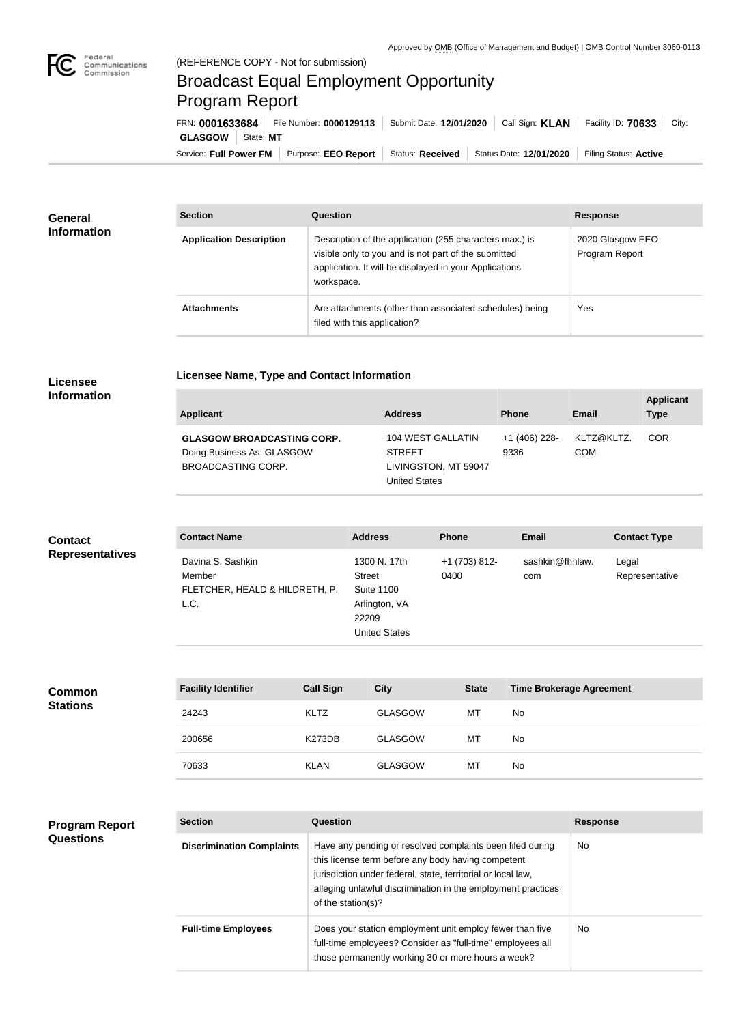

# Broadcast Equal Employment Opportunity Program Report

**Licensee Name, Type and Contact Information**

Service: Full Power FM Purpose: EEO Report | Status: Received | Status Date: 12/01/2020 | Filing Status: Active **GLASGOW** | State: MT FRN: **0001633684** File Number: **0000129113** Submit Date: **12/01/2020** Call Sign: **KLAN** Facility ID: **70633** City:

| General<br><b>Information</b> | <b>Section</b>                 | <b>Question</b>                                                                                                                                                                         | <b>Response</b>                    |
|-------------------------------|--------------------------------|-----------------------------------------------------------------------------------------------------------------------------------------------------------------------------------------|------------------------------------|
|                               | <b>Application Description</b> | Description of the application (255 characters max.) is<br>visible only to you and is not part of the submitted<br>application. It will be displayed in your Applications<br>workspace. | 2020 Glasgow EEO<br>Program Report |
|                               | <b>Attachments</b>             | Are attachments (other than associated schedules) being<br>filed with this application?                                                                                                 | Yes                                |

#### **Licensee Information**

| <b>Applicant</b>                                                                      | <b>Address</b>                                                                     | <b>Phone</b>          | Email                    | <b>Applicant</b><br><b>Type</b> |
|---------------------------------------------------------------------------------------|------------------------------------------------------------------------------------|-----------------------|--------------------------|---------------------------------|
| <b>GLASGOW BROADCASTING CORP.</b><br>Doing Business As: GLASGOW<br>BROADCASTING CORP. | 104 WEST GALLATIN<br><b>STREET</b><br>LIVINGSTON, MT 59047<br><b>United States</b> | +1 (406) 228-<br>9336 | KLTZ@KLTZ.<br><b>COM</b> | <b>COR</b>                      |

### **Contact Representatives**

| <b>Contact Name</b>            | <b>Address</b>       | <b>Phone</b>  | <b>Email</b>    | <b>Contact Type</b> |
|--------------------------------|----------------------|---------------|-----------------|---------------------|
| Davina S. Sashkin              | 1300 N. 17th         | +1 (703) 812- | sashkin@fhhlaw. | Legal               |
| Member                         | <b>Street</b>        | 0400          | com             | Representative      |
| FLETCHER, HEALD & HILDRETH, P. | <b>Suite 1100</b>    |               |                 |                     |
| L.C.                           | Arlington, VA        |               |                 |                     |
|                                | 22209                |               |                 |                     |
|                                | <b>United States</b> |               |                 |                     |
|                                |                      |               |                 |                     |

| <b>Common</b><br><b>Stations</b> | <b>Facility Identifier</b> | <b>Call Sign</b> | <b>City</b>    | <b>State</b> | <b>Time Brokerage Agreement</b> |
|----------------------------------|----------------------------|------------------|----------------|--------------|---------------------------------|
|                                  | 24243                      | <b>KLTZ</b>      | <b>GLASGOW</b> | MT           | No.                             |
|                                  | 200656                     | <b>K273DB</b>    | GLASGOW        | MT           | No                              |
|                                  | 70633                      | <b>KLAN</b>      | <b>GLASGOW</b> | МT           | No                              |

#### **Program Report Questions**

| <b>Section</b>                   | Question                                                                                                                                                                                                                                                              | <b>Response</b> |
|----------------------------------|-----------------------------------------------------------------------------------------------------------------------------------------------------------------------------------------------------------------------------------------------------------------------|-----------------|
| <b>Discrimination Complaints</b> | Have any pending or resolved complaints been filed during<br>this license term before any body having competent<br>jurisdiction under federal, state, territorial or local law,<br>alleging unlawful discrimination in the employment practices<br>of the station(s)? | No.             |
| <b>Full-time Employees</b>       | Does your station employment unit employ fewer than five<br>full-time employees? Consider as "full-time" employees all<br>those permanently working 30 or more hours a week?                                                                                          | No.             |